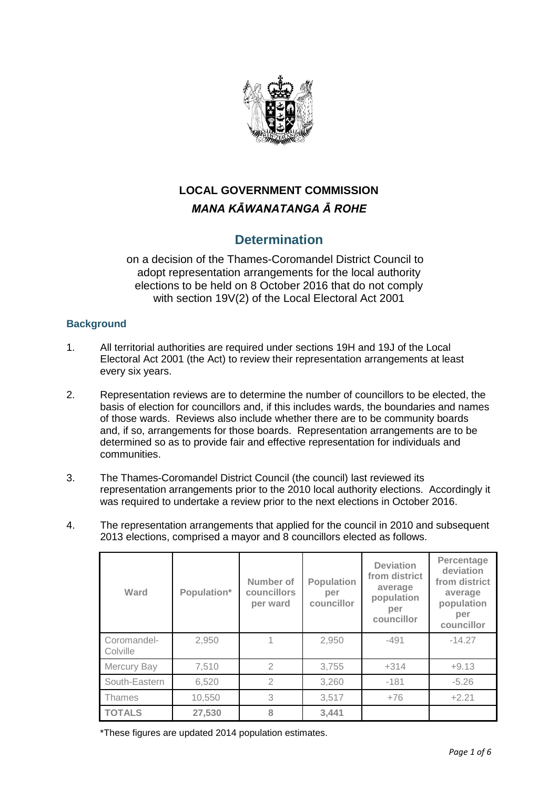

# **LOCAL GOVERNMENT COMMISSION** *MANA KĀWANATANGA Ā ROHE*

# **Determination**

on a decision of the Thames-Coromandel District Council to adopt representation arrangements for the local authority elections to be held on 8 October 2016 that do not comply with section 19V(2) of the Local Electoral Act 2001

# **Background**

- 1. All territorial authorities are required under sections 19H and 19J of the Local Electoral Act 2001 (the Act) to review their representation arrangements at least every six years.
- 2. Representation reviews are to determine the number of councillors to be elected, the basis of election for councillors and, if this includes wards, the boundaries and names of those wards. Reviews also include whether there are to be community boards and, if so, arrangements for those boards. Representation arrangements are to be determined so as to provide fair and effective representation for individuals and communities.
- 3. The Thames-Coromandel District Council (the council) last reviewed its representation arrangements prior to the 2010 local authority elections. Accordingly it was required to undertake a review prior to the next elections in October 2016.
- 4. The representation arrangements that applied for the council in 2010 and subsequent 2013 elections, comprised a mayor and 8 councillors elected as follows.

| Ward                    | Population* | Number of<br>councillors<br>per ward | <b>Population</b><br>per<br>councillor | <b>Deviation</b><br>from district<br>average<br>population<br>per<br>councillor | Percentage<br>deviation<br>from district<br>average<br>population<br>per<br>councillor |
|-------------------------|-------------|--------------------------------------|----------------------------------------|---------------------------------------------------------------------------------|----------------------------------------------------------------------------------------|
| Coromandel-<br>Colville | 2,950       |                                      | 2,950                                  | $-491$                                                                          | $-14.27$                                                                               |
| Mercury Bay             | 7,510       | $\mathfrak{D}$                       | 3,755                                  | $+314$                                                                          | $+9.13$                                                                                |
| South-Eastern           | 6,520       | 2                                    | 3,260                                  | $-181$                                                                          | $-5.26$                                                                                |
| Thames                  | 10,550      | 3                                    | 3,517                                  | $+76$                                                                           | $+2.21$                                                                                |
| <b>TOTALS</b>           | 27,530      | 8                                    | 3,441                                  |                                                                                 |                                                                                        |

\*These figures are updated 2014 population estimates.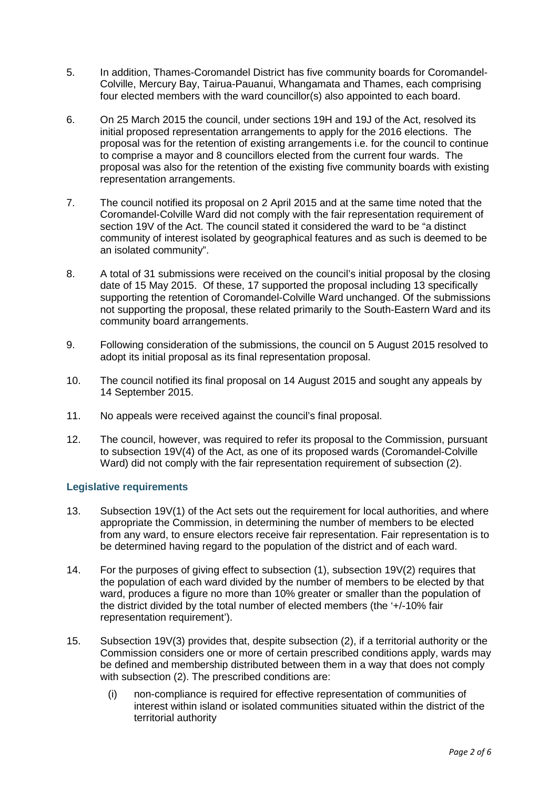- 5. In addition, Thames-Coromandel District has five community boards for Coromandel-Colville, Mercury Bay, Tairua-Pauanui, Whangamata and Thames, each comprising four elected members with the ward councillor(s) also appointed to each board.
- 6. On 25 March 2015 the council, under sections 19H and 19J of the Act, resolved its initial proposed representation arrangements to apply for the 2016 elections. The proposal was for the retention of existing arrangements i.e. for the council to continue to comprise a mayor and 8 councillors elected from the current four wards. The proposal was also for the retention of the existing five community boards with existing representation arrangements.
- 7. The council notified its proposal on 2 April 2015 and at the same time noted that the Coromandel-Colville Ward did not comply with the fair representation requirement of section 19V of the Act. The council stated it considered the ward to be "a distinct community of interest isolated by geographical features and as such is deemed to be an isolated community".
- 8. A total of 31 submissions were received on the council's initial proposal by the closing date of 15 May 2015. Of these, 17 supported the proposal including 13 specifically supporting the retention of Coromandel-Colville Ward unchanged. Of the submissions not supporting the proposal, these related primarily to the South-Eastern Ward and its community board arrangements.
- 9. Following consideration of the submissions, the council on 5 August 2015 resolved to adopt its initial proposal as its final representation proposal.
- 10. The council notified its final proposal on 14 August 2015 and sought any appeals by 14 September 2015.
- 11. No appeals were received against the council's final proposal.
- 12. The council, however, was required to refer its proposal to the Commission, pursuant to subsection 19V(4) of the Act, as one of its proposed wards (Coromandel-Colville Ward) did not comply with the fair representation requirement of subsection (2).

## **Legislative requirements**

- 13. Subsection 19V(1) of the Act sets out the requirement for local authorities, and where appropriate the Commission, in determining the number of members to be elected from any ward, to ensure electors receive fair representation. Fair representation is to be determined having regard to the population of the district and of each ward.
- 14. For the purposes of giving effect to subsection (1), subsection 19V(2) requires that the population of each ward divided by the number of members to be elected by that ward, produces a figure no more than 10% greater or smaller than the population of the district divided by the total number of elected members (the '+/-10% fair representation requirement').
- 15. Subsection 19V(3) provides that, despite subsection (2), if a territorial authority or the Commission considers one or more of certain prescribed conditions apply, wards may be defined and membership distributed between them in a way that does not comply with subsection (2). The prescribed conditions are:
	- (i) non-compliance is required for effective representation of communities of interest within island or isolated communities situated within the district of the territorial authority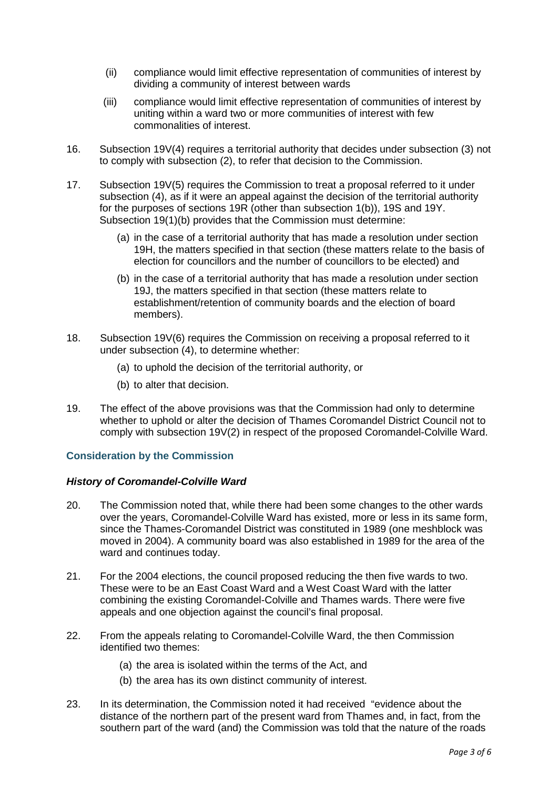- (ii) compliance would limit effective representation of communities of interest by dividing a community of interest between wards
- (iii) compliance would limit effective representation of communities of interest by uniting within a ward two or more communities of interest with few commonalities of interest.
- 16. Subsection 19V(4) requires a territorial authority that decides under subsection (3) not to comply with subsection (2), to refer that decision to the Commission.
- 17. Subsection 19V(5) requires the Commission to treat a proposal referred to it under subsection (4), as if it were an appeal against the decision of the territorial authority for the purposes of sections 19R (other than subsection 1(b)), 19S and 19Y. Subsection 19(1)(b) provides that the Commission must determine:
	- (a) in the case of a territorial authority that has made a resolution under section 19H, the matters specified in that section (these matters relate to the basis of election for councillors and the number of councillors to be elected) and
	- (b) in the case of a territorial authority that has made a resolution under section 19J, the matters specified in that section (these matters relate to establishment/retention of community boards and the election of board members).
- 18. Subsection 19V(6) requires the Commission on receiving a proposal referred to it under subsection (4), to determine whether:
	- (a) to uphold the decision of the territorial authority, or
	- (b) to alter that decision.
- 19. The effect of the above provisions was that the Commission had only to determine whether to uphold or alter the decision of Thames Coromandel District Council not to comply with subsection 19V(2) in respect of the proposed Coromandel-Colville Ward.

## **Consideration by the Commission**

## *History of Coromandel-Colville Ward*

- 20. The Commission noted that, while there had been some changes to the other wards over the years, Coromandel-Colville Ward has existed, more or less in its same form, since the Thames-Coromandel District was constituted in 1989 (one meshblock was moved in 2004). A community board was also established in 1989 for the area of the ward and continues today.
- 21. For the 2004 elections, the council proposed reducing the then five wards to two. These were to be an East Coast Ward and a West Coast Ward with the latter combining the existing Coromandel-Colville and Thames wards. There were five appeals and one objection against the council's final proposal.
- 22. From the appeals relating to Coromandel-Colville Ward, the then Commission identified two themes:
	- (a) the area is isolated within the terms of the Act, and
	- (b) the area has its own distinct community of interest.
- 23. In its determination, the Commission noted it had received "evidence about the distance of the northern part of the present ward from Thames and, in fact, from the southern part of the ward (and) the Commission was told that the nature of the roads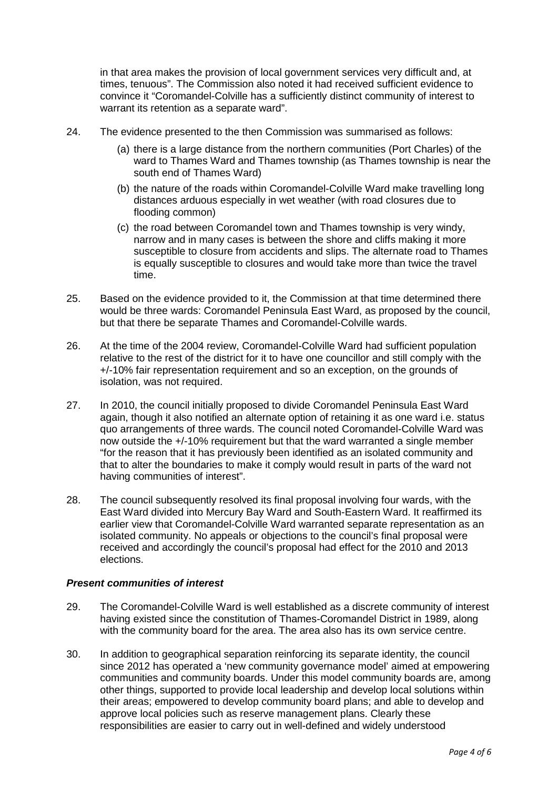in that area makes the provision of local government services very difficult and, at times, tenuous". The Commission also noted it had received sufficient evidence to convince it "Coromandel-Colville has a sufficiently distinct community of interest to warrant its retention as a separate ward".

- 24. The evidence presented to the then Commission was summarised as follows:
	- (a) there is a large distance from the northern communities (Port Charles) of the ward to Thames Ward and Thames township (as Thames township is near the south end of Thames Ward)
	- (b) the nature of the roads within Coromandel-Colville Ward make travelling long distances arduous especially in wet weather (with road closures due to flooding common)
	- (c) the road between Coromandel town and Thames township is very windy, narrow and in many cases is between the shore and cliffs making it more susceptible to closure from accidents and slips. The alternate road to Thames is equally susceptible to closures and would take more than twice the travel time.
- 25. Based on the evidence provided to it, the Commission at that time determined there would be three wards: Coromandel Peninsula East Ward, as proposed by the council, but that there be separate Thames and Coromandel-Colville wards.
- 26. At the time of the 2004 review, Coromandel-Colville Ward had sufficient population relative to the rest of the district for it to have one councillor and still comply with the +/-10% fair representation requirement and so an exception, on the grounds of isolation, was not required.
- 27. In 2010, the council initially proposed to divide Coromandel Peninsula East Ward again, though it also notified an alternate option of retaining it as one ward i.e. status quo arrangements of three wards. The council noted Coromandel-Colville Ward was now outside the +/-10% requirement but that the ward warranted a single member "for the reason that it has previously been identified as an isolated community and that to alter the boundaries to make it comply would result in parts of the ward not having communities of interest".
- 28. The council subsequently resolved its final proposal involving four wards, with the East Ward divided into Mercury Bay Ward and South-Eastern Ward. It reaffirmed its earlier view that Coromandel-Colville Ward warranted separate representation as an isolated community. No appeals or objections to the council's final proposal were received and accordingly the council's proposal had effect for the 2010 and 2013 elections.

## *Present communities of interest*

- 29. The Coromandel-Colville Ward is well established as a discrete community of interest having existed since the constitution of Thames-Coromandel District in 1989, along with the community board for the area. The area also has its own service centre.
- 30. In addition to geographical separation reinforcing its separate identity, the council since 2012 has operated a 'new community governance model' aimed at empowering communities and community boards. Under this model community boards are, among other things, supported to provide local leadership and develop local solutions within their areas; empowered to develop community board plans; and able to develop and approve local policies such as reserve management plans. Clearly these responsibilities are easier to carry out in well-defined and widely understood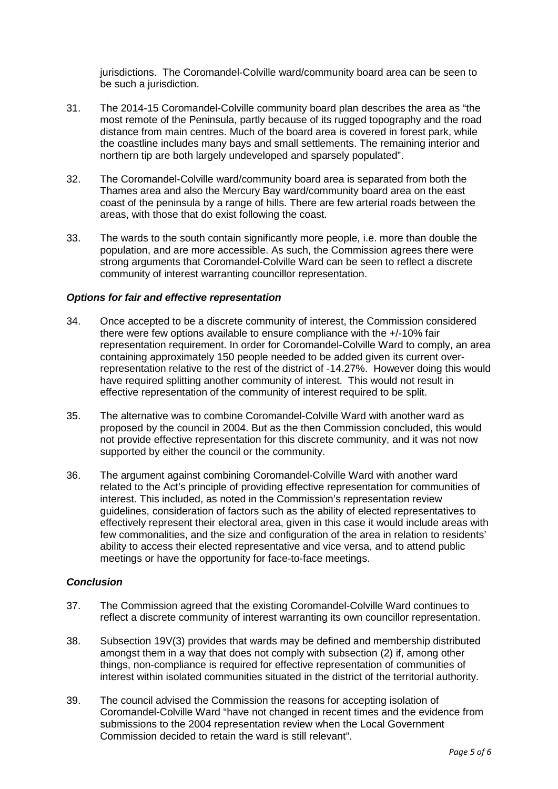jurisdictions. The Coromandel-Colville ward/community board area can be seen to be such a jurisdiction.

- 31. The 2014-15 Coromandel-Colville community board plan describes the area as "the most remote of the Peninsula, partly because of its rugged topography and the road distance from main centres. Much of the board area is covered in forest park, while the coastline includes many bays and small settlements. The remaining interior and northern tip are both largely undeveloped and sparsely populated".
- 32. The Coromandel-Colville ward/community board area is separated from both the Thames area and also the Mercury Bay ward/community board area on the east coast of the peninsula by a range of hills. There are few arterial roads between the areas, with those that do exist following the coast.
- 33. The wards to the south contain significantly more people, i.e. more than double the population, and are more accessible. As such, the Commission agrees there were strong arguments that Coromandel-Colville Ward can be seen to reflect a discrete community of interest warranting councillor representation.

#### *Options for fair and effective representation*

- 34. Once accepted to be a discrete community of interest, the Commission considered there were few options available to ensure compliance with the +/-10% fair representation requirement. In order for Coromandel-Colville Ward to comply, an area containing approximately 150 people needed to be added given its current overrepresentation relative to the rest of the district of -14.27%. However doing this would have required splitting another community of interest. This would not result in effective representation of the community of interest required to be split.
- 35. The alternative was to combine Coromandel-Colville Ward with another ward as proposed by the council in 2004. But as the then Commission concluded, this would not provide effective representation for this discrete community, and it was not now supported by either the council or the community.
- 36. The argument against combining Coromandel-Colville Ward with another ward related to the Act's principle of providing effective representation for communities of interest. This included, as noted in the Commission's representation review guidelines, consideration of factors such as the ability of elected representatives to effectively represent their electoral area, given in this case it would include areas with few commonalities, and the size and configuration of the area in relation to residents' ability to access their elected representative and vice versa, and to attend public meetings or have the opportunity for face-to-face meetings.

## *Conclusion*

- 37. The Commission agreed that the existing Coromandel-Colville Ward continues to reflect a discrete community of interest warranting its own councillor representation.
- 38. Subsection 19V(3) provides that wards may be defined and membership distributed amongst them in a way that does not comply with subsection (2) if, among other things, non-compliance is required for effective representation of communities of interest within isolated communities situated in the district of the territorial authority.
- 39. The council advised the Commission the reasons for accepting isolation of Coromandel-Colville Ward "have not changed in recent times and the evidence from submissions to the 2004 representation review when the Local Government Commission decided to retain the ward is still relevant".